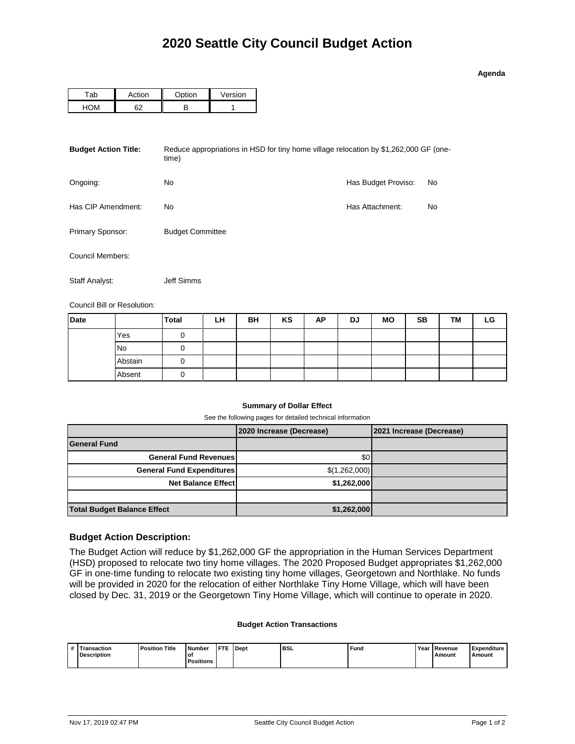| o<br>43 | ena |  |
|---------|-----|--|

| `ab | rti∩n | ∩ntion − | Version |
|-----|-------|----------|---------|
|     | הה    |          |         |

| <b>Budget Action Title:</b> | Reduce appropriations in HSD for tiny home village relocation by \$1,262,000 GF (one-<br>time) |                     |    |  |  |  |  |  |
|-----------------------------|------------------------------------------------------------------------------------------------|---------------------|----|--|--|--|--|--|
| Ongoing:                    | No                                                                                             | Has Budget Proviso: | No |  |  |  |  |  |
| Has CIP Amendment:          | No.                                                                                            | Has Attachment:     | No |  |  |  |  |  |
| Primary Sponsor:            | <b>Budget Committee</b>                                                                        |                     |    |  |  |  |  |  |
| Council Members:            |                                                                                                |                     |    |  |  |  |  |  |
| Staff Analyst:              | Jeff Simms                                                                                     |                     |    |  |  |  |  |  |

Council Bill or Resolution:

| <b>Date</b> |         | <b>Total</b> | LH | BH | KS | AP | <b>DJ</b> | <b>MO</b> | SВ | TM | LG |
|-------------|---------|--------------|----|----|----|----|-----------|-----------|----|----|----|
|             | Yes     |              |    |    |    |    |           |           |    |    |    |
|             | No      |              |    |    |    |    |           |           |    |    |    |
|             | Abstain |              |    |    |    |    |           |           |    |    |    |
|             | Absent  |              |    |    |    |    |           |           |    |    |    |

## **Summary of Dollar Effect**

See the following pages for detailed technical information

|                                    | 2020 Increase (Decrease) | 2021 Increase (Decrease) |
|------------------------------------|--------------------------|--------------------------|
| <b>General Fund</b>                |                          |                          |
| <b>General Fund Revenues</b>       | \$0                      |                          |
| <b>General Fund Expenditures</b>   | \$(1,262,000)            |                          |
| <b>Net Balance Effect</b>          | \$1,262,000              |                          |
|                                    |                          |                          |
| <b>Total Budget Balance Effect</b> | \$1,262,000              |                          |

## **Budget Action Description:**

The Budget Action will reduce by \$1,262,000 GF the appropriation in the Human Services Department (HSD) proposed to relocate two tiny home villages. The 2020 Proposed Budget appropriates \$1,262,000 GF in one-time funding to relocate two existing tiny home villages, Georgetown and Northlake. No funds will be provided in 2020 for the relocation of either Northlake Tiny Home Village, which will have been closed by Dec. 31, 2019 or the Georgetown Tiny Home Village, which will continue to operate in 2020.

## **Budget Action Transactions**

| $\overline{\mathbf{u}}$ | <b>isaction</b><br>Description | Title<br><b>Position</b> | Number<br>O1 | <b>CTP</b> | Dept | <b>BSL</b><br>__ | Funo | Yeaı | I Revenue<br>Amount | Expenditure<br>Amount |
|-------------------------|--------------------------------|--------------------------|--------------|------------|------|------------------|------|------|---------------------|-----------------------|
|                         |                                |                          | ositions     |            |      |                  |      |      |                     |                       |